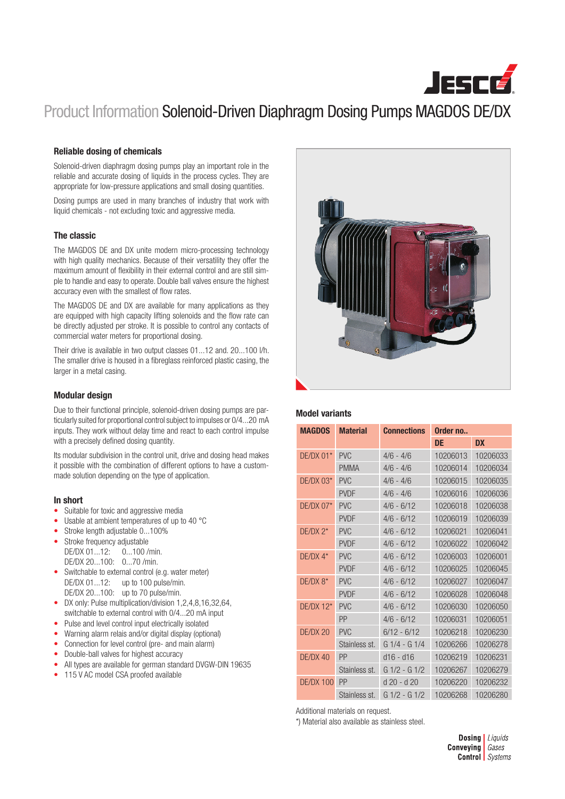

# Product Information Solenoid-Driven Diaphragm Dosing Pumps MAGDOS DE/DX

### Reliable dosing of chemicals

Solenoid-driven diaphragm dosing pumps play an important role in the reliable and accurate dosing of liquids in the process cycles. They are appropriate for low-pressure applications and small dosing quantities.

Dosing pumps are used in many branches of industry that work with liquid chemicals - not excluding toxic and aggressive media.

### The classic

The MAGDOS DE and DX unite modern micro-processing technology with high quality mechanics. Because of their versatility they offer the maximum amount of flexibility in their external control and are still simple to handle and easy to operate. Double ball valves ensure the highest accuracy even with the smallest of flow rates.

The MAGDOS DE and DX are available for many applications as they are equipped with high capacity lifting solenoids and the flow rate can be directly adjusted per stroke. It is possible to control any contacts of commercial water meters for proportional dosing.

Their drive is available in two output classes 01...12 and. 20...100 l/h. The smaller drive is housed in a fibreglass reinforced plastic casing, the larger in a metal casing.

### Modular design

Due to their functional principle, solenoid-driven dosing pumps are particularly suited for proportional control subject to impulses or 0/4...20 mA inputs. They work without delay time and react to each control impulse with a precisely defined dosing quantity.

Its modular subdivision in the control unit, drive and dosing head makes it possible with the combination of different options to have a custommade solution depending on the type of application.

#### In short

- Suitable for toxic and aggressive media
- Usable at ambient temperatures of up to 40 °C
- Stroke length adjustable 0...100%
- Stroke frequency adjustable DE/DX 01...12: 0...100 /min.
	- DE/DX 20...100: 0...70 /min.
- Switchable to external control (e.g. water meter) DE/DX 01...12: up to 100 pulse/min.
	- DE/DX 20...100: up to 70 pulse/min.
- DX only: Pulse multiplication/division 1,2,4,8,16,32,64, switchable to external control with 0/4...20 mA input
- Pulse and level control input electrically isolated
- Warning alarm relais and/or digital display (optional)
- Connection for level control (pre- and main alarm)
- Double-ball valves for highest accuracy
- All types are available for german standard DVGW-DIN 19635
- 115 V AC model CSA proofed available

### Model variants

| <b>MAGDOS</b>    | <b>Material</b> | <b>Connections</b> | Order no |           |  |  |
|------------------|-----------------|--------------------|----------|-----------|--|--|
|                  |                 |                    | DE       | <b>DX</b> |  |  |
| $DF/DX$ 01*      | PV <sub>C</sub> | $4/6 - 4/6$        | 10206013 | 10206033  |  |  |
|                  | <b>PMMA</b>     | $4/6 - 4/6$        | 10206014 | 10206034  |  |  |
| $DE/DX$ 03*      | <b>PVC</b>      | $4/6 - 4/6$        | 10206015 | 10206035  |  |  |
|                  | <b>PVDF</b>     | $4/6 - 4/6$        | 10206016 | 10206036  |  |  |
| $DE/DX 07*$      | <b>PVC</b>      | $4/6 - 6/12$       | 10206018 | 10206038  |  |  |
|                  | <b>PVDF</b>     | $4/6 - 6/12$       | 10206019 | 10206039  |  |  |
| $DE/DX 2*$       | <b>PVC</b>      | $4/6 - 6/12$       | 10206021 | 10206041  |  |  |
|                  | <b>PVDF</b>     | $4/6 - 6/12$       | 10206022 | 10206042  |  |  |
| $DF/DX 4*$       | <b>PVC</b>      | $4/6 - 6/12$       | 10206003 | 10206001  |  |  |
|                  | <b>PVDF</b>     | $4/6 - 6/12$       | 10206025 | 10206045  |  |  |
| $DE/DX 8*$       | <b>PVC</b>      | $4/6 - 6/12$       | 10206027 | 10206047  |  |  |
|                  | <b>PVDF</b>     | $4/6 - 6/12$       | 10206028 | 10206048  |  |  |
| $DE/DX$ 12*      | PV <sub>C</sub> | $4/6 - 6/12$       | 10206030 | 10206050  |  |  |
|                  | PP              | $4/6 - 6/12$       | 10206031 | 10206051  |  |  |
| DE/DX 20         | <b>PVC</b>      | $6/12 - 6/12$      | 10206218 | 10206230  |  |  |
|                  | Stainless st.   | $G1/4 - G1/4$      | 10206266 | 10206278  |  |  |
| DE/DX 40         | PP              | $d16 - d16$        | 10206219 | 10206231  |  |  |
|                  | Stainless st.   | $G1/2 - G1/2$      | 10206267 | 10206279  |  |  |
| <b>DE/DX 100</b> | PP              | d 20 - d 20        | 10206220 | 10206232  |  |  |
|                  | Stainless st.   | $G1/2 - G1/2$      | 10206268 | 10206280  |  |  |

Additional materials on request.

\*) Material also available as stainless steel.

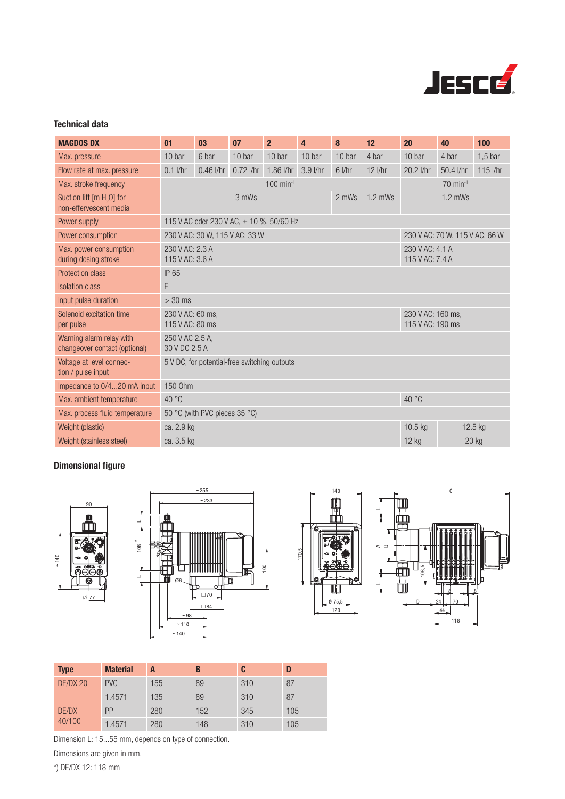

## Technical data

| <b>MAGDOS DX</b>                                                | 01                                           | 03                                                               | 07          | $\overline{2}$ | $\overline{4}$ | 8                                     | 12                    | 20        | 40        | 100              |
|-----------------------------------------------------------------|----------------------------------------------|------------------------------------------------------------------|-------------|----------------|----------------|---------------------------------------|-----------------------|-----------|-----------|------------------|
| Max. pressure                                                   | 10 bar                                       | 6 bar                                                            | 10 bar      | 10 bar         | 10 bar         | 10 bar                                | 4 bar                 | 10 bar    | 4 bar     | $1,5$ bar        |
| Flow rate at max. pressure                                      | $0.1$ I/hr                                   | $0.46$ I/hr                                                      | $0.72$ I/hr | 1.86 l/hr      | $3.9$ I/hr     | $6$ <i>l/hr</i>                       | $12$ <i>l/hr</i>      | 20.2 l/hr | 50.4 l/hr | $115$ <i>Vhr</i> |
| Max. stroke frequency                                           | $100$ min <sup>-1</sup>                      |                                                                  |             |                |                |                                       | $70 \text{ min}^{-1}$ |           |           |                  |
| Suction lift [m H <sub>2</sub> O] for<br>non-effervescent media | 2 mWs<br>$1.2$ mWs<br>3 mWs                  |                                                                  |             |                | $1.2$ mWs      |                                       |                       |           |           |                  |
| Power supply                                                    |                                              | 115 V AC oder 230 V AC, ± 10 %, 50/60 Hz                         |             |                |                |                                       |                       |           |           |                  |
| Power consumption                                               |                                              | 230 V AC: 30 W, 115 V AC: 33 W<br>230 V AC: 70 W, 115 V AC: 66 W |             |                |                |                                       |                       |           |           |                  |
| Max. power consumption<br>during dosing stroke                  | 230 V AC: 2.3 A<br>115 V AC: 3.6 A           |                                                                  |             |                |                | 230 V AC: 4.1 A<br>115 V AC: 7.4 A    |                       |           |           |                  |
| <b>Protection class</b>                                         | IP 65                                        |                                                                  |             |                |                |                                       |                       |           |           |                  |
| <b>Isolation class</b>                                          | F                                            |                                                                  |             |                |                |                                       |                       |           |           |                  |
| Input pulse duration                                            | $> 30$ ms                                    |                                                                  |             |                |                |                                       |                       |           |           |                  |
| Solenoid excitation time<br>per pulse                           | 230 V AC: 60 ms.<br>115 V AC: 80 ms          |                                                                  |             |                |                | 230 V AC: 160 ms.<br>115 V AC: 190 ms |                       |           |           |                  |
| Warning alarm relay with<br>changeover contact (optional)       | 250 V AC 2.5 A,<br>30 V DC 2.5 A             |                                                                  |             |                |                |                                       |                       |           |           |                  |
| Voltage at level connec-<br>tion / pulse input                  | 5 V DC, for potential-free switching outputs |                                                                  |             |                |                |                                       |                       |           |           |                  |
| Impedance to 0/420 mA input                                     | 150 Ohm                                      |                                                                  |             |                |                |                                       |                       |           |           |                  |
| Max. ambient temperature                                        | 40 °C<br>40 °C                               |                                                                  |             |                |                |                                       |                       |           |           |                  |
| Max. process fluid temperature                                  | 50 °C (with PVC pieces 35 °C)                |                                                                  |             |                |                |                                       |                       |           |           |                  |
| Weight (plastic)                                                | 10.5 kg<br>12.5 kg<br>ca. 2.9 kg             |                                                                  |             |                |                |                                       |                       |           |           |                  |
| Weight (stainless steel)                                        | ca. 3.5 kg<br>12 kg<br>20 kg                 |                                                                  |             |                |                |                                       |                       |           |           |                  |

## Dimensional figure









| <b>Type</b>     | <b>Material</b> | A   | B   | C   |     |
|-----------------|-----------------|-----|-----|-----|-----|
| DE/DX 20        | <b>PVC</b>      | 155 | 89  | 310 | 87  |
|                 | 1.4571          | 135 | 89  | 310 | 87  |
| DE/DX<br>40/100 | PP              | 280 | 152 | 345 | 105 |
|                 | 1.4571          | 280 | 148 | 310 | 105 |

Dimension L: 15...55 mm, depends on type of connection.

\*

Dimensions are given in mm.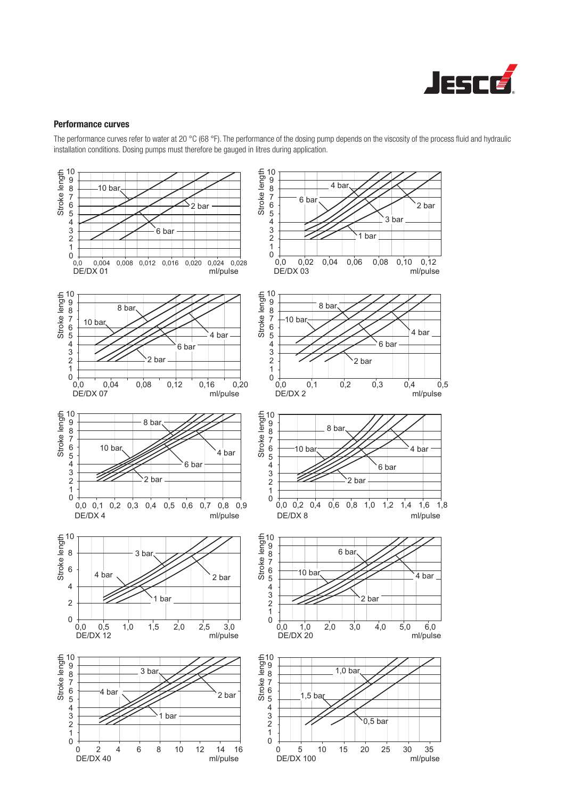

### Performance curves

The performance curves refer to water at 20 °C (68 °F). The performance of the dosing pump depends on the viscosity of the process fluid and hydraulic installation conditions. Dosing pumps must therefore be gauged in litres during application.